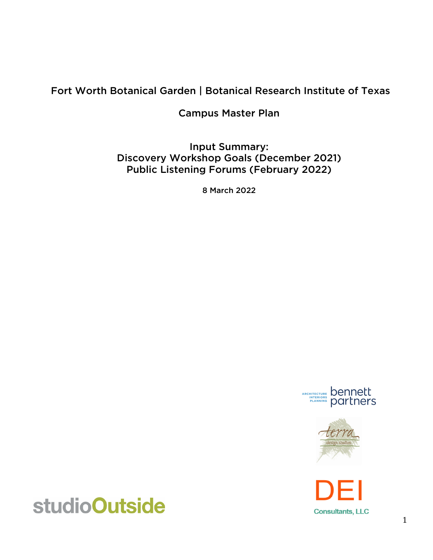## Fort Worth Botanical Garden | Botanical Research Institute of Texas

Campus Master Plan

Input Summary: Discovery Workshop Goals (December 2021) Public Listening Forums (February 2022)

8 March 2022







# studioOutside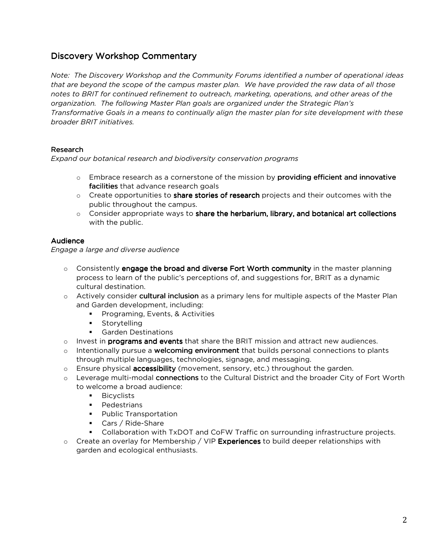## Discovery Workshop Commentary

*Note: The Discovery Workshop and the Community Forums identified a number of operational ideas that are beyond the scope of the campus master plan. We have provided the raw data of all those notes to BRIT for continued refinement to outreach, marketing, operations, and other areas of the organization. The following Master Plan goals are organized under the Strategic Plan's Transformative Goals in a means to continually align the master plan for site development with these broader BRIT initiatives.* 

## Research

*Expand our botanical research and biodiversity conservation programs* 

- $\circ$  Embrace research as a cornerstone of the mission by **providing efficient and innovative** facilities that advance research goals
- $\circ$  Create opportunities to **share stories of research** projects and their outcomes with the public throughout the campus.
- $\circ$  Consider appropriate ways to share the herbarium, library, and botanical art collections with the public.

## Audience

*Engage a large and diverse audience* 

- $\circ$  Consistently engage the broad and diverse Fort Worth community in the master planning process to learn of the public's perceptions of, and suggestions for, BRIT as a dynamic cultural destination.
- o Actively consider cultural inclusion as a primary lens for multiple aspects of the Master Plan and Garden development, including:
	- **Programing, Events, & Activities**
	- **Storytelling**
	- Garden Destinations
- $\circ$  Invest in programs and events that share the BRIT mission and attract new audiences.
- o Intentionally pursue a welcoming environment that builds personal connections to plants through multiple languages, technologies, signage, and messaging.
- o Ensure physical **accessibility** (movement, sensory, etc.) throughout the garden.
- $\circ$  Leverage multi-modal connections to the Cultural District and the broader City of Fort Worth to welcome a broad audience:
	- **Bicyclists**
	- **Pedestrians**
	- **Public Transportation**
	- Cars / Ride-Share
	- Collaboration with TxDOT and CoFW Traffic on surrounding infrastructure projects.
- $\circ$  Create an overlay for Membership / VIP Experiences to build deeper relationships with garden and ecological enthusiasts.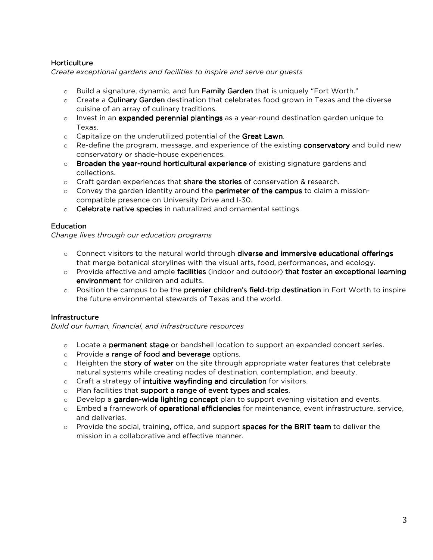## Horticulture

*Create exceptional gardens and facilities to inspire and serve our guests*

- $\circ$  Build a signature, dynamic, and fun **Family Garden** that is uniquely "Fort Worth."
- $\circ$  Create a **Culinary Garden** destination that celebrates food grown in Texas and the diverse cuisine of an array of culinary traditions.
- $\circ$  Invest in an expanded perennial plantings as a year-round destination garden unique to Texas.
- $\circ$  Capitalize on the underutilized potential of the Great Lawn.
- $\circ$  Re-define the program, message, and experience of the existing **conservatory** and build new conservatory or shade-house experiences.
- $\circ$  Broaden the year-round horticultural experience of existing signature gardens and collections.
- $\circ$  Craft garden experiences that share the stories of conservation & research.
- $\circ$  Convey the garden identity around the **perimeter of the campus** to claim a missioncompatible presence on University Drive and I-30.
- $\circ$  Celebrate native species in naturalized and ornamental settings

## **Education**

*Change lives through our education programs* 

- $\circ$  Connect visitors to the natural world through diverse and immersive educational offerings that merge botanical storylines with the visual arts, food, performances, and ecology.
- $\circ$  Provide effective and ample facilities (indoor and outdoor) that foster an exceptional learning environment for children and adults.
- $\circ$  Position the campus to be the premier children's field-trip destination in Fort Worth to inspire the future environmental stewards of Texas and the world.

## **Infrastructure**

*Build our human, financial, and infrastructure resources* 

- $\circ$  Locate a **permanent stage** or bandshell location to support an expanded concert series.
- o Provide a range of food and beverage options.
- $\circ$  Heighten the story of water on the site through appropriate water features that celebrate natural systems while creating nodes of destination, contemplation, and beauty.
- $\circ$  Craft a strategy of intuitive wayfinding and circulation for visitors.
- $\circ$  Plan facilities that support a range of event types and scales.
- $\circ$  Develop a garden-wide lighting concept plan to support evening visitation and events.
- $\circ$  Embed a framework of **operational efficiencies** for maintenance, event infrastructure, service, and deliveries.
- o Provide the social, training, office, and support spaces for the BRIT team to deliver the mission in a collaborative and effective manner.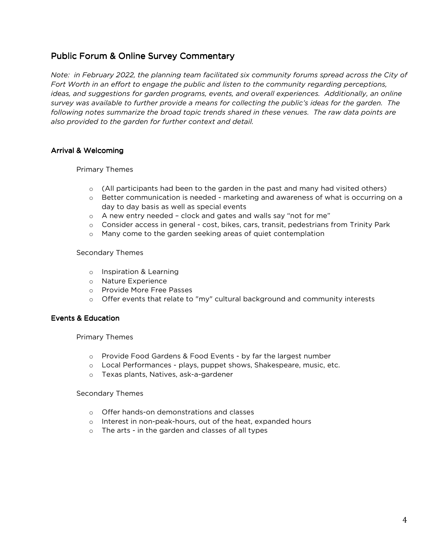## Public Forum & Online Survey Commentary

*Note: in February 2022, the planning team facilitated six community forums spread across the City of Fort Worth in an effort to engage the public and listen to the community regarding perceptions, ideas, and suggestions for garden programs, events, and overall experiences. Additionally, an online survey was available to further provide a means for collecting the public's ideas for the garden. The following notes summarize the broad topic trends shared in these venues. The raw data points are also provided to the garden for further context and detail.* 

## Arrival & Welcoming

Primary Themes

- $\circ$  (All participants had been to the garden in the past and many had visited others)
- $\circ$  Better communication is needed marketing and awareness of what is occurring on a day to day basis as well as special events
- o A new entry needed clock and gates and walls say "not for me"
- o Consider access in general cost, bikes, cars, transit, pedestrians from Trinity Park
- o Many come to the garden seeking areas of quiet contemplation

## Secondary Themes

- o Inspiration & Learning
- o Nature Experience
- o Provide More Free Passes
- o Offer events that relate to "my" cultural background and community interests

## Events & Education

Primary Themes

- o Provide Food Gardens & Food Events by far the largest number
- o Local Performances plays, puppet shows, Shakespeare, music, etc.
- o Texas plants, Natives, ask-a-gardener

#### Secondary Themes

- o Offer hands-on demonstrations and classes
- o Interest in non-peak-hours, out of the heat, expanded hours
- o The arts in the garden and classes of all types